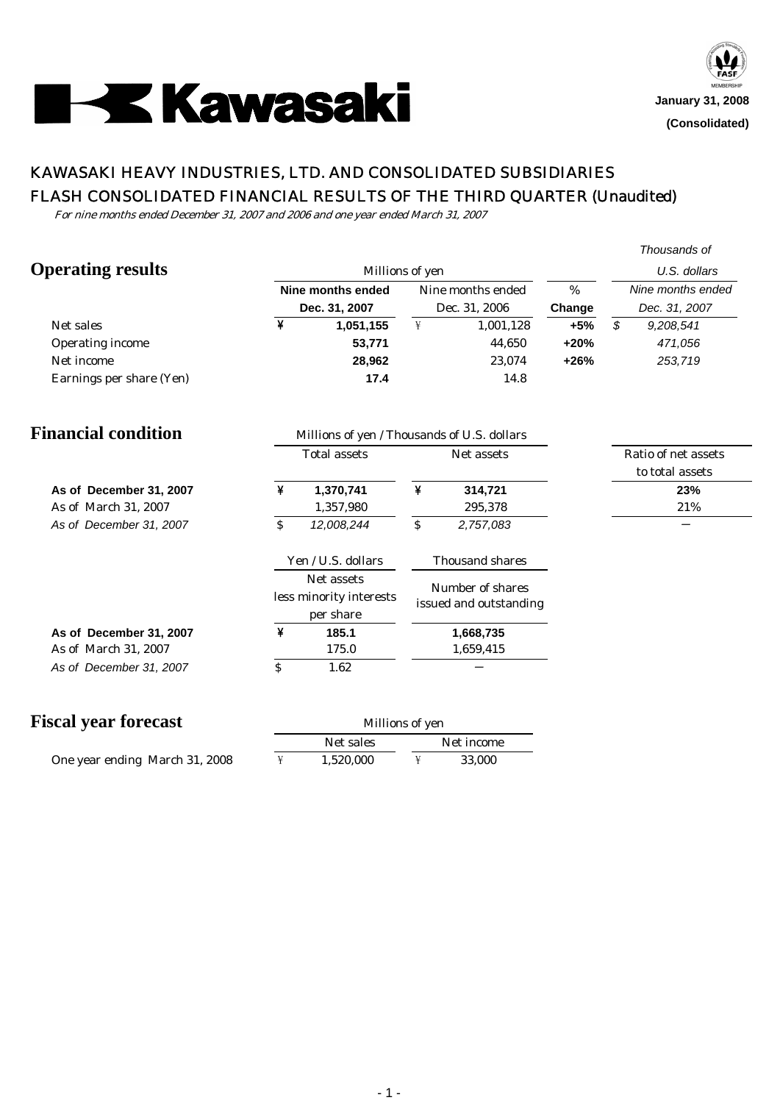

# KAWASAKI HEAVY INDUSTRIES, LTD. AND CONSOLIDATED SUBSIDIARIES FLASH CONSOLIDATED FINANCIAL RESULTS OF THE THIRD QUARTER (Unaudited)

For nine months ended December 31, 2007 and 2006 and one year ended March 31, 2007

|                             |                                                                           |                                                    |                                                                   |                                            |        | Thousands of                            |
|-----------------------------|---------------------------------------------------------------------------|----------------------------------------------------|-------------------------------------------------------------------|--------------------------------------------|--------|-----------------------------------------|
| <b>Operating results</b>    |                                                                           | Millions of yen                                    |                                                                   | U.S. dollars                               |        |                                         |
|                             |                                                                           | <b>Nine months ended</b>                           |                                                                   | Nine months ended                          |        | Nine months ended                       |
|                             |                                                                           | Dec. 31, 2007                                      |                                                                   | Dec. 31, 2006                              | Change | Dec. 31, 2007                           |
| Net sales                   | ¥                                                                         | 1,051,155                                          | $\ddot{f}$                                                        | 1,001,128                                  | $+5%$  | $\boldsymbol{\mathcal{S}}$<br>9,208,541 |
| Operating income            |                                                                           | 53,771                                             |                                                                   | 44,650                                     | $+20%$ | 471,056                                 |
| Net income                  |                                                                           | 28,962                                             |                                                                   | 23,074                                     | $+26%$ | 253,719                                 |
| Earnings per share (Yen)    |                                                                           | 17.4                                               |                                                                   | 14.8                                       |        |                                         |
| <b>Financial condition</b>  |                                                                           | Millions of yen / Thousands of U.S. dollars        |                                                                   |                                            |        |                                         |
|                             |                                                                           | <b>Total assets</b>                                |                                                                   | Net assets                                 |        | Ratio of net assets                     |
|                             |                                                                           |                                                    |                                                                   |                                            |        | to total assets                         |
| As of December 31, 2007     | ¥                                                                         | 1,370,741                                          | ¥                                                                 | 314,721                                    |        | 23%                                     |
| As of March 31, 2007        |                                                                           | 1,357,980                                          |                                                                   | 295,378                                    |        | 21%                                     |
| As of December 31, 2007     | \$                                                                        | 12,008,244                                         | $\rlap{\hspace{.08em}I\hspace{.04em}}\mspace{.04em}$<br>2,757,083 |                                            |        |                                         |
|                             |                                                                           | Yen / U.S. dollars                                 |                                                                   | Thousand shares                            |        |                                         |
|                             |                                                                           | Net assets<br>less minority interests<br>per share |                                                                   | Number of shares<br>issued and outstanding |        |                                         |
| As of December 31, 2007     | ¥                                                                         | 185.1                                              |                                                                   | 1,668,735                                  |        |                                         |
| As of March 31, 2007        |                                                                           | 175.0                                              |                                                                   | 1,659,415                                  |        |                                         |
| As of December 31, 2007     | $\rlap{\hspace{1.5pt}\raisebox{1.5pt}{\scriptsize$\circ$}}\mspace{1.5pt}$ | 1.62                                               |                                                                   |                                            |        |                                         |
|                             |                                                                           |                                                    |                                                                   |                                            |        |                                         |
| <b>Fiscal year forecast</b> |                                                                           | Millions of yen                                    |                                                                   |                                            |        |                                         |

| scai year torecast             | Millions of yen<br>Net sales<br>Net income |  |        |  |
|--------------------------------|--------------------------------------------|--|--------|--|
|                                |                                            |  |        |  |
| One year ending March 31, 2008 | 1.520.000                                  |  | 33.000 |  |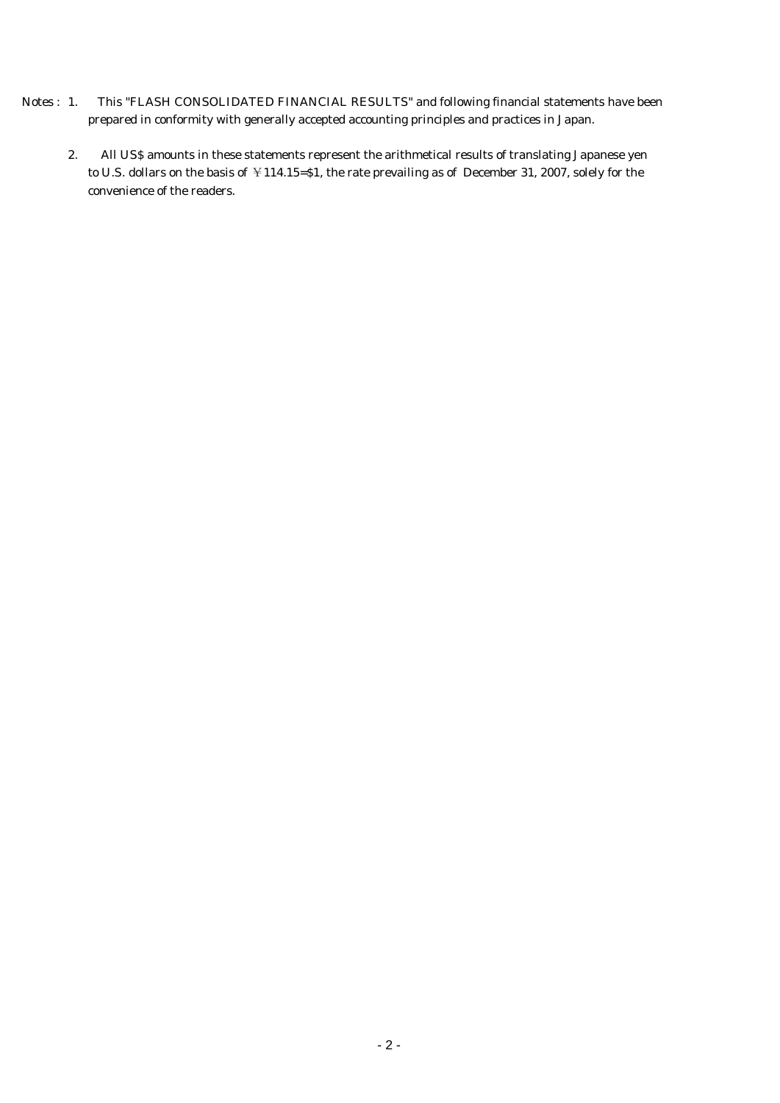- Notes : 1. This "FLASH CONSOLIDATED FINANCIAL RESULTS" and following financial statements have been prepared in conformity with generally accepted accounting principles and practices in Japan.
	- 2. All US\$ amounts in these statements represent the arithmetical results of translating Japanese yen to U.S. dollars on the basis of ¥114.15=\$1, the rate prevailing as of December 31, 2007, solely for the convenience of the readers.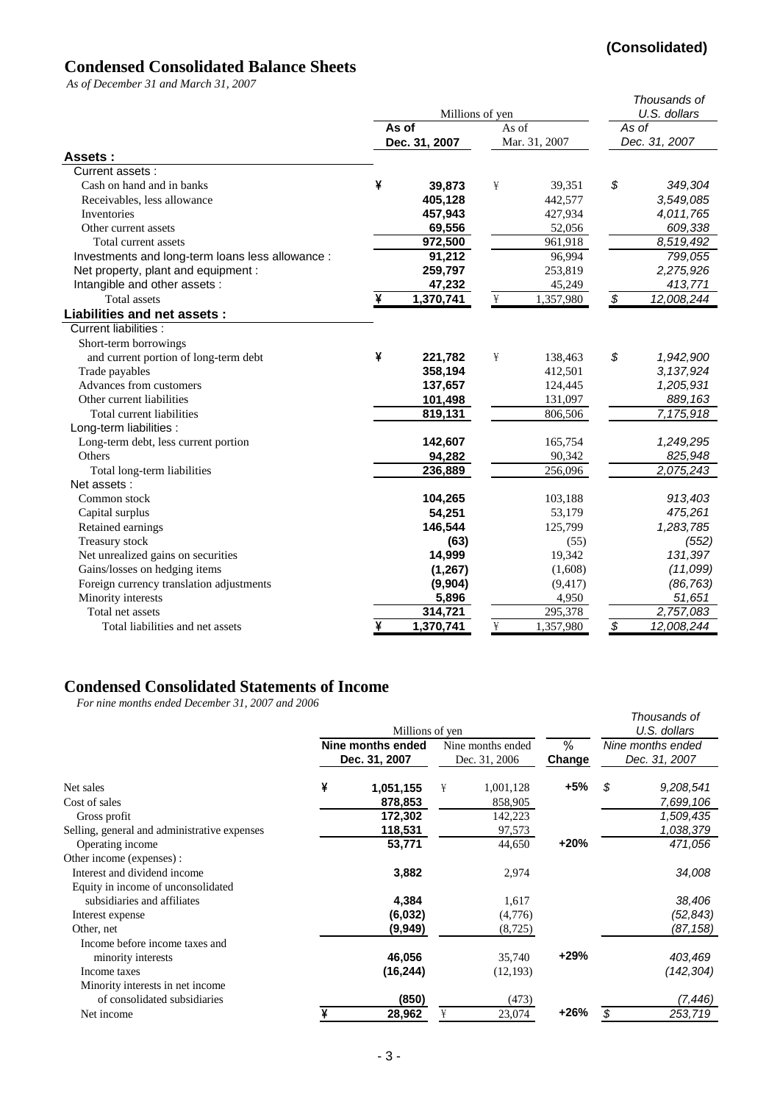# **(Consolidated)**

# **Condensed Consolidated Balance Sheets**

*As of December 31 and March 31, 2007*

|                                                  |   | Millions of yen |                                 |               |                 | Thousands of<br>U.S. dollars |  |
|--------------------------------------------------|---|-----------------|---------------------------------|---------------|-----------------|------------------------------|--|
|                                                  |   | As of           | As of                           | As of         |                 |                              |  |
|                                                  |   | Dec. 31, 2007   |                                 | Mar. 31, 2007 | Dec. 31, 2007   |                              |  |
| Assets:                                          |   |                 |                                 |               |                 |                              |  |
| Current assets:                                  |   |                 |                                 |               |                 |                              |  |
| Cash on hand and in banks                        | ¥ | 39,873          | ¥                               | 39,351        | \$              | 349,304                      |  |
| Receivables, less allowance                      |   | 405,128         |                                 | 442,577       |                 | 3,549,085                    |  |
| Inventories                                      |   | 457,943         |                                 | 427,934       |                 | 4,011,765                    |  |
| Other current assets                             |   | 69,556          |                                 | 52,056        |                 | 609,338                      |  |
| Total current assets                             |   | 972,500         |                                 | 961,918       |                 | 8,519,492                    |  |
| Investments and long-term loans less allowance : |   | 91,212          |                                 | 96,994        |                 | 799,055                      |  |
| Net property, plant and equipment :              |   | 259,797         |                                 | 253,819       |                 | 2,275,926                    |  |
| Intangible and other assets :                    |   | 47,232          |                                 | 45,249        |                 | 413,771                      |  |
| <b>Total assets</b>                              | ¥ | 1,370,741       | ¥                               | 1,357,980     | $\overline{\$}$ | 12,008,244                   |  |
| Liabilities and net assets :                     |   |                 |                                 |               |                 |                              |  |
| Current liabilities :                            |   |                 |                                 |               |                 |                              |  |
| Short-term borrowings                            |   |                 |                                 |               |                 |                              |  |
| and current portion of long-term debt            | ¥ | 221,782         | ¥                               | 138,463       | \$              | 1,942,900                    |  |
| Trade payables                                   |   | 358,194         |                                 | 412,501       |                 | 3, 137, 924                  |  |
| Advances from customers                          |   | 137,657         |                                 | 124,445       |                 | 1,205,931                    |  |
| Other current liabilities                        |   | 101,498         |                                 | 131,097       |                 | 889,163                      |  |
| Total current liabilities                        |   | 819,131         |                                 | 806,506       |                 | 7,175,918                    |  |
| Long-term liabilities :                          |   |                 |                                 |               |                 |                              |  |
| Long-term debt, less current portion             |   | 142,607         |                                 | 165,754       |                 | 1,249,295                    |  |
| Others                                           |   | 94,282          |                                 | 90,342        |                 | 825,948                      |  |
| Total long-term liabilities                      |   | 236,889         |                                 | 256,096       |                 | 2,075,243                    |  |
| Net assets:                                      |   |                 |                                 |               |                 |                              |  |
| Common stock                                     |   | 104,265         |                                 | 103,188       |                 | 913,403                      |  |
| Capital surplus                                  |   | 54,251          |                                 | 53,179        |                 | 475,261                      |  |
| Retained earnings                                |   | 146,544         |                                 | 125,799       |                 | 1,283,785                    |  |
| Treasury stock                                   |   | (63)            |                                 | (55)          |                 | (552)                        |  |
| Net unrealized gains on securities               |   | 14,999          |                                 | 19,342        |                 | 131,397                      |  |
| Gains/losses on hedging items                    |   | (1,267)         |                                 | (1,608)       |                 | (11,099)                     |  |
| Foreign currency translation adjustments         |   | (9,904)         |                                 | (9, 417)      |                 | (86, 763)                    |  |
| Minority interests                               |   | 5,896           |                                 | 4,950         |                 | 51,651                       |  |
| Total net assets                                 |   | 314,721         |                                 | 295,378       |                 | 2,757,083                    |  |
| Total liabilities and net assets                 | ¥ | 1,370,741       | $\frac{\mathbf{V}}{\mathbf{H}}$ | 1,357,980     | $\overline{\$}$ | 12,008,244                   |  |

# **Condensed Consolidated Statements of Income**

*For nine months ended December 31, 2007 and 2006*

| r or nine monins enaea December 31, 2007 and 2000 |   | Millions of yen<br>Nine months ended<br>Dec. 31, 2007 |   | Nine months ended<br>Dec. 31, 2006 | %<br>Change | Thousands of<br>U.S. dollars<br>Nine months ended<br>Dec. 31, 2007 |
|---------------------------------------------------|---|-------------------------------------------------------|---|------------------------------------|-------------|--------------------------------------------------------------------|
|                                                   |   |                                                       |   |                                    |             |                                                                    |
| Net sales                                         | ¥ | 1,051,155                                             | ¥ | 1,001,128                          | +5%         | \$<br>9,208,541                                                    |
| Cost of sales                                     |   | 878,853                                               |   | 858,905                            |             | 7,699,106                                                          |
| Gross profit                                      |   | 172,302                                               |   | 142,223                            |             | 1,509,435                                                          |
| Selling, general and administrative expenses      |   | 118,531                                               |   | 97,573                             |             | 1,038,379                                                          |
| Operating income                                  |   | 53,771                                                |   | 44,650                             | +20%        | 471,056                                                            |
| Other income (expenses) :                         |   |                                                       |   |                                    |             |                                                                    |
| Interest and dividend income                      |   | 3,882                                                 |   | 2,974                              |             | 34,008                                                             |
| Equity in income of unconsolidated                |   |                                                       |   |                                    |             |                                                                    |
| subsidiaries and affiliates                       |   | 4,384                                                 |   | 1,617                              |             | 38,406                                                             |
| Interest expense                                  |   | (6,032)                                               |   | (4,776)                            |             | (52,843)                                                           |
| Other, net                                        |   | (9,949)                                               |   | (8, 725)                           |             | (87, 158)                                                          |
| Income before income taxes and                    |   |                                                       |   |                                    |             |                                                                    |
| minority interests                                |   | 46,056                                                |   | 35,740                             | $+29%$      | 403,469                                                            |
| Income taxes                                      |   | (16, 244)                                             |   | (12, 193)                          |             | (142, 304)                                                         |
| Minority interests in net income                  |   |                                                       |   |                                    |             |                                                                    |
| of consolidated subsidiaries                      |   | (850)                                                 |   | (473)                              |             | (7,446)                                                            |
| Net income                                        |   | 28,962                                                | ¥ | 23,074                             | +26%        | \$<br>253,719                                                      |